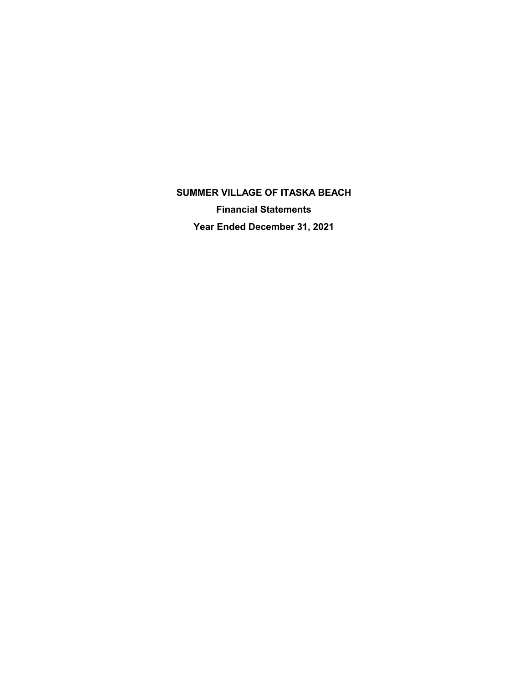**SUMMER VILLAGE OF ITASKA BEACH Financial Statements Year Ended December 31, 2021**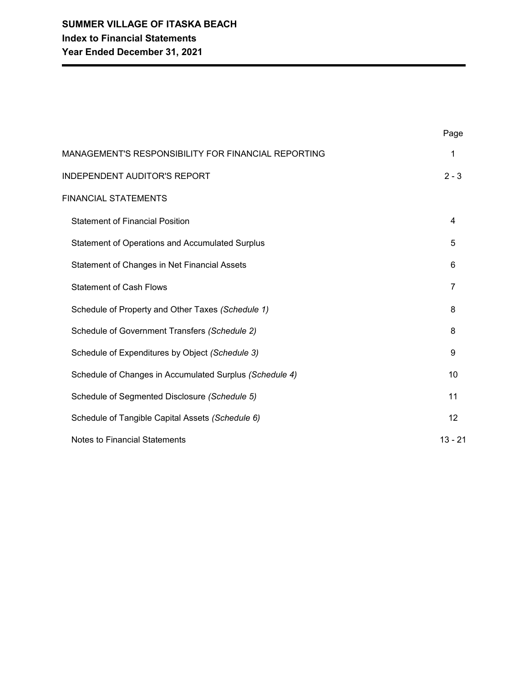| MANAGEMENT'S RESPONSIBILITY FOR FINANCIAL REPORTING     | 1         |
|---------------------------------------------------------|-----------|
| <b>INDEPENDENT AUDITOR'S REPORT</b>                     | $2 - 3$   |
| <b>FINANCIAL STATEMENTS</b>                             |           |
| <b>Statement of Financial Position</b>                  | 4         |
| Statement of Operations and Accumulated Surplus         | 5         |
| Statement of Changes in Net Financial Assets            | 6         |
| <b>Statement of Cash Flows</b>                          | 7         |
| Schedule of Property and Other Taxes (Schedule 1)       | 8         |
| Schedule of Government Transfers (Schedule 2)           | 8         |
| Schedule of Expenditures by Object (Schedule 3)         | 9         |
| Schedule of Changes in Accumulated Surplus (Schedule 4) | 10        |
| Schedule of Segmented Disclosure (Schedule 5)           | 11        |
| Schedule of Tangible Capital Assets (Schedule 6)        | 12        |
| <b>Notes to Financial Statements</b>                    | $13 - 21$ |

Page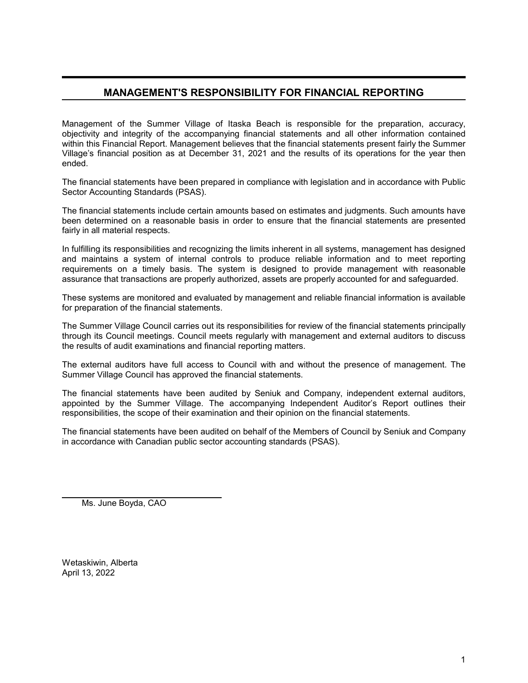# **MANAGEMENT'S RESPONSIBILITY FOR FINANCIAL REPORTING**

Management of the Summer Village of Itaska Beach is responsible for the preparation, accuracy, objectivity and integrity of the accompanying financial statements and all other information contained within this Financial Report. Management believes that the financial statements present fairly the Summer Village's financial position as at December 31, 2021 and the results of its operations for the year then ended.

The financial statements have been prepared in compliance with legislation and in accordance with Public Sector Accounting Standards (PSAS).

The financial statements include certain amounts based on estimates and judgments. Such amounts have been determined on a reasonable basis in order to ensure that the financial statements are presented fairly in all material respects.

In fulfilling its responsibilities and recognizing the limits inherent in all systems, management has designed and maintains a system of internal controls to produce reliable information and to meet reporting requirements on a timely basis. The system is designed to provide management with reasonable assurance that transactions are properly authorized, assets are properly accounted for and safeguarded.

These systems are monitored and evaluated by management and reliable financial information is available for preparation of the financial statements.

The Summer Village Council carries out its responsibilities for review of the financial statements principally through its Council meetings. Council meets regularly with management and external auditors to discuss the results of audit examinations and financial reporting matters.

The external auditors have full access to Council with and without the presence of management. The Summer Village Council has approved the financial statements.

The financial statements have been audited by Seniuk and Company, independent external auditors, appointed by the Summer Village. The accompanying Independent Auditor's Report outlines their responsibilities, the scope of their examination and their opinion on the financial statements.

The financial statements have been audited on behalf of the Members of Council by Seniuk and Company in accordance with Canadian public sector accounting standards (PSAS).

Ms. June Boyda, CAO

Wetaskiwin, Alberta April 13, 2022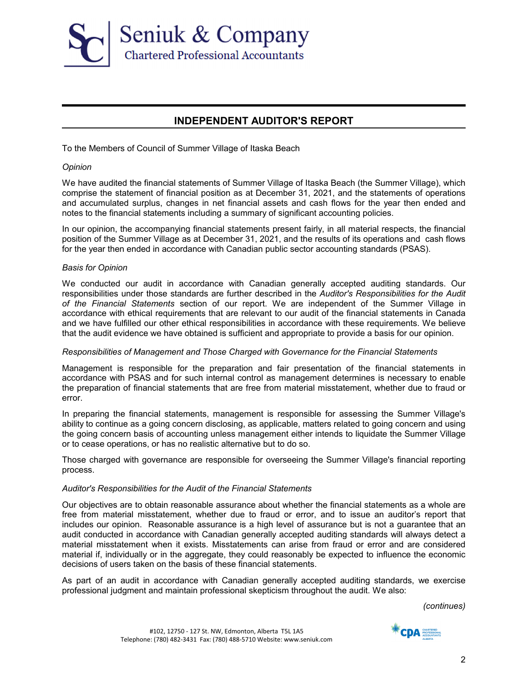

# **INDEPENDENT AUDITOR'S REPORT**

To the Members of Council of Summer Village of Itaska Beach

#### *Opinion*

We have audited the financial statements of Summer Village of Itaska Beach (the Summer Village), which comprise the statement of financial position as at December 31, 2021, and the statements of operations and accumulated surplus, changes in net financial assets and cash flows for the year then ended and notes to the financial statements including a summary of significant accounting policies.

In our opinion, the accompanying financial statements present fairly, in all material respects, the financial position of the Summer Village as at December 31, 2021, and the results of its operations and cash flows for the year then ended in accordance with Canadian public sector accounting standards (PSAS).

#### *Basis for Opinion*

We conducted our audit in accordance with Canadian generally accepted auditing standards. Our responsibilities under those standards are further described in the *Auditor's Responsibilities for the Audit of the Financial Statements* section of our report. We are independent of the Summer Village in accordance with ethical requirements that are relevant to our audit of the financial statements in Canada and we have fulfilled our other ethical responsibilities in accordance with these requirements. We believe that the audit evidence we have obtained is sufficient and appropriate to provide a basis for our opinion.

### *Responsibilities of Management and Those Charged with Governance for the Financial Statements*

Management is responsible for the preparation and fair presentation of the financial statements in accordance with PSAS and for such internal control as management determines is necessary to enable the preparation of financial statements that are free from material misstatement, whether due to fraud or error.

In preparing the financial statements, management is responsible for assessing the Summer Village's ability to continue as a going concern disclosing, as applicable, matters related to going concern and using the going concern basis of accounting unless management either intends to liquidate the Summer Village or to cease operations, or has no realistic alternative but to do so.

Those charged with governance are responsible for overseeing the Summer Village's financial reporting process.

#### *Auditor's Responsibilities for the Audit of the Financial Statements*

Our objectives are to obtain reasonable assurance about whether the financial statements as a whole are free from material misstatement, whether due to fraud or error, and to issue an auditor's report that includes our opinion. Reasonable assurance is a high level of assurance but is not a guarantee that an audit conducted in accordance with Canadian generally accepted auditing standards will always detect a material misstatement when it exists. Misstatements can arise from fraud or error and are considered material if, individually or in the aggregate, they could reasonably be expected to influence the economic decisions of users taken on the basis of these financial statements.

As part of an audit in accordance with Canadian generally accepted auditing standards, we exercise professional judgment and maintain professional skepticism throughout the audit. We also:

*(continues)*

#102, 12750 - 127 St. NW, Edmonton, Alberta T5L 1A5 Telephone: (780) 482-3431 Fax: (780) 488-5710 Website: www.seniuk.com

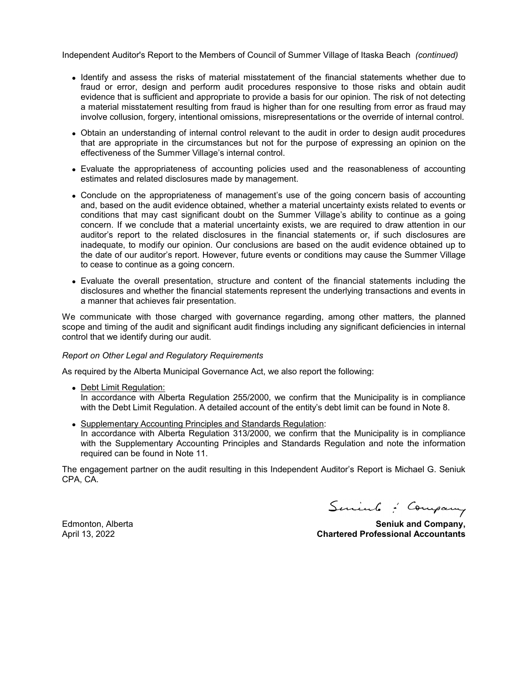Independent Auditor's Report to the Members of Council of Summer Village of Itaska Beach *(continued)*

- Identify and assess the risks of material misstatement of the financial statements whether due to fraud or error, design and perform audit procedures responsive to those risks and obtain audit evidence that is sufficient and appropriate to provide a basis for our opinion. The risk of not detecting a material misstatement resulting from fraud is higher than for one resulting from error as fraud may involve collusion, forgery, intentional omissions, misrepresentations or the override of internal control.
- Obtain an understanding of internal control relevant to the audit in order to design audit procedures that are appropriate in the circumstances but not for the purpose of expressing an opinion on the effectiveness of the Summer Village's internal control.
- Evaluate the appropriateness of accounting policies used and the reasonableness of accounting estimates and related disclosures made by management.
- Conclude on the appropriateness of management's use of the going concern basis of accounting and, based on the audit evidence obtained, whether a material uncertainty exists related to events or conditions that may cast significant doubt on the Summer Village's ability to continue as a going concern. If we conclude that a material uncertainty exists, we are required to draw attention in our auditor's report to the related disclosures in the financial statements or, if such disclosures are inadequate, to modify our opinion. Our conclusions are based on the audit evidence obtained up to the date of our auditor's report. However, future events or conditions may cause the Summer Village to cease to continue as a going concern.
- Evaluate the overall presentation, structure and content of the financial statements including the disclosures and whether the financial statements represent the underlying transactions and events in a manner that achieves fair presentation.

We communicate with those charged with governance regarding, among other matters, the planned scope and timing of the audit and significant audit findings including any significant deficiencies in internal control that we identify during our audit.

#### *Report on Other Legal and Regulatory Requirements*

As required by the Alberta Municipal Governance Act, we also report the following:

- Debt Limit Regulation: In accordance with Alberta Regulation 255/2000, we confirm that the Municipality is in compliance with the Debt Limit Regulation. A detailed account of the entity's debt limit can be found in Note 8.
- Supplementary Accounting Principles and Standards Regulation: In accordance with Alberta Regulation 313/2000, we confirm that the Municipality is in compliance with the Supplementary Accounting Principles and Standards Regulation and note the information required can be found in Note 11.

The engagement partner on the audit resulting in this Independent Auditor's Report is Michael G. Seniuk CPA, CA.

Seniul : Company

Edmonton, Alberta **Seniuk and Company,** April 13, 2022 **Chartered Professional Accountants**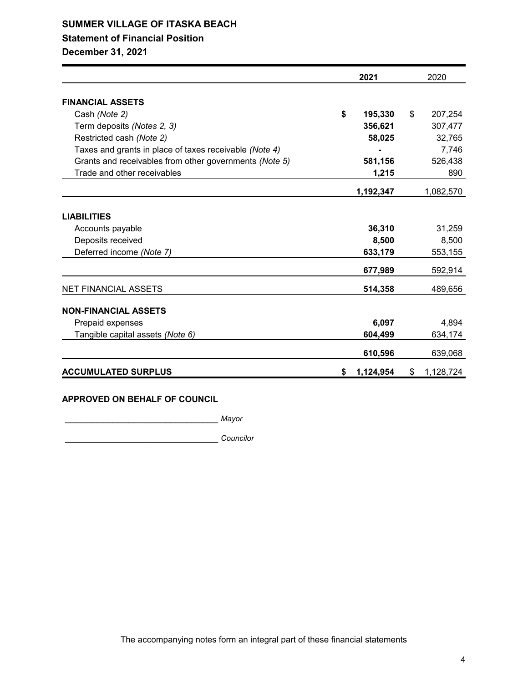|                                                        | 2021            | 2020            |
|--------------------------------------------------------|-----------------|-----------------|
| <b>FINANCIAL ASSETS</b>                                |                 |                 |
| Cash (Note 2)                                          | \$<br>195,330   | \$<br>207,254   |
| Term deposits (Notes 2, 3)                             | 356,621         | 307,477         |
| Restricted cash (Note 2)                               | 58,025          | 32,765          |
| Taxes and grants in place of taxes receivable (Note 4) |                 | 7,746           |
| Grants and receivables from other governments (Note 5) | 581,156         | 526,438         |
| Trade and other receivables                            | 1,215           | 890             |
|                                                        | 1,192,347       | 1,082,570       |
|                                                        |                 |                 |
| <b>LIABILITIES</b>                                     |                 |                 |
| Accounts payable                                       | 36,310          | 31,259          |
| Deposits received                                      | 8,500           | 8,500           |
| Deferred income (Note 7)                               | 633,179         | 553,155         |
|                                                        | 677,989         | 592,914         |
| <b>NET FINANCIAL ASSETS</b>                            | 514,358         | 489,656         |
| <b>NON-FINANCIAL ASSETS</b>                            |                 |                 |
| Prepaid expenses                                       | 6,097           | 4,894           |
| Tangible capital assets (Note 6)                       | 604,499         | 634,174         |
|                                                        | 610,596         | 639,068         |
| <b>ACCUMULATED SURPLUS</b>                             | \$<br>1,124,954 | \$<br>1,128,724 |

# **APPROVED ON BEHALF OF COUNCIL**

\_\_\_\_\_\_\_\_\_\_\_\_\_\_\_\_\_\_\_\_\_\_\_\_\_\_\_\_\_ *Mayor*

\_\_\_\_\_\_\_\_\_\_\_\_\_\_\_\_\_\_\_\_\_\_\_\_\_\_\_\_\_ *Councilor*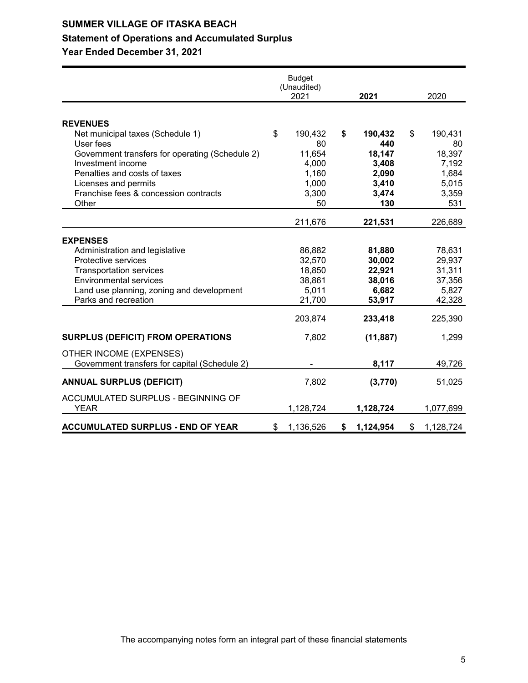# **Statement of Operations and Accumulated Surplus**

|                                                 | <b>Budget</b><br>(Unaudited)<br>2021 |           |    | 2021      | 2020            |
|-------------------------------------------------|--------------------------------------|-----------|----|-----------|-----------------|
| <b>REVENUES</b>                                 |                                      |           |    |           |                 |
| Net municipal taxes (Schedule 1)                | \$                                   | 190,432   | \$ | 190,432   | \$<br>190,431   |
| User fees                                       |                                      | 80        |    | 440       | 80              |
| Government transfers for operating (Schedule 2) |                                      | 11,654    |    | 18,147    | 18,397          |
| Investment income                               |                                      | 4,000     |    | 3,408     | 7,192           |
| Penalties and costs of taxes                    |                                      | 1,160     |    | 2,090     | 1,684           |
| Licenses and permits                            |                                      | 1,000     |    | 3,410     | 5,015           |
| Franchise fees & concession contracts           |                                      | 3,300     |    | 3,474     | 3,359           |
| Other                                           |                                      | 50        |    | 130       | 531             |
|                                                 |                                      | 211,676   |    | 221,531   | 226,689         |
|                                                 |                                      |           |    |           |                 |
| <b>EXPENSES</b>                                 |                                      |           |    |           |                 |
| Administration and legislative                  |                                      | 86,882    |    | 81,880    | 78,631          |
| Protective services                             |                                      | 32,570    |    | 30,002    | 29,937          |
| <b>Transportation services</b>                  |                                      | 18,850    |    | 22,921    | 31,311          |
| <b>Environmental services</b>                   |                                      | 38,861    |    | 38,016    | 37,356          |
| Land use planning, zoning and development       |                                      | 5,011     |    | 6,682     | 5,827           |
| Parks and recreation                            |                                      | 21,700    |    | 53,917    | 42,328          |
|                                                 |                                      | 203,874   |    | 233,418   | 225,390         |
| <b>SURPLUS (DEFICIT) FROM OPERATIONS</b>        |                                      | 7,802     |    | (11, 887) | 1,299           |
| OTHER INCOME (EXPENSES)                         |                                      |           |    |           |                 |
| Government transfers for capital (Schedule 2)   |                                      |           |    | 8,117     | 49,726          |
| <b>ANNUAL SURPLUS (DEFICIT)</b>                 |                                      | 7,802     |    | (3,770)   | 51,025          |
| ACCUMULATED SURPLUS - BEGINNING OF<br>YEAR      |                                      | 1,128,724 |    | 1,128,724 | 1,077,699       |
| <b>ACCUMULATED SURPLUS - END OF YEAR</b>        | \$                                   | 1,136,526 | \$ | 1,124,954 | \$<br>1,128,724 |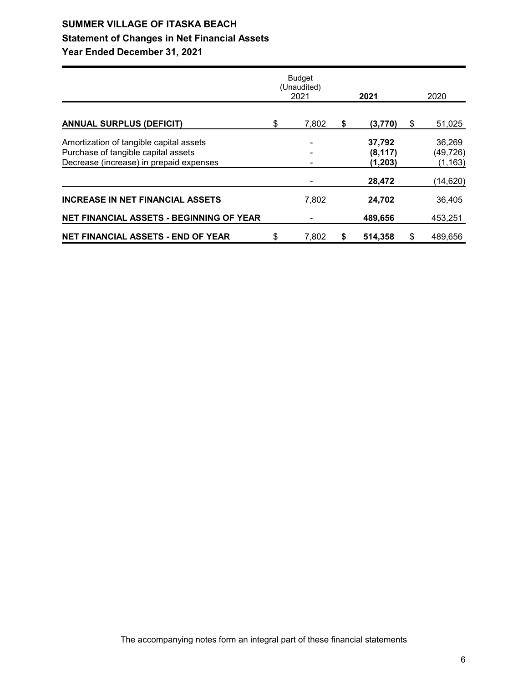# **SUMMER VILLAGE OF ITASKA BEACH Statement of Changes in Net Financial Assets**

|                                                                                                                           | <b>Budget</b><br>(Unaudited)<br>2021<br>2021 |       |    |                                | 2020                            |
|---------------------------------------------------------------------------------------------------------------------------|----------------------------------------------|-------|----|--------------------------------|---------------------------------|
| <b>ANNUAL SURPLUS (DEFICIT)</b>                                                                                           |                                              | 7,802 | \$ | (3,770)                        | \$<br>51,025                    |
| Amortization of tangible capital assets<br>Purchase of tangible capital assets<br>Decrease (increase) in prepaid expenses |                                              |       |    | 37,792<br>(8, 117)<br>(1, 203) | 36,269<br>(49, 726)<br>(1, 163) |
|                                                                                                                           |                                              |       |    | 28,472                         | (14,620)                        |
| <b>INCREASE IN NET FINANCIAL ASSETS</b>                                                                                   |                                              | 7,802 |    | 24.702                         | 36,405                          |
| <b>NET FINANCIAL ASSETS - BEGINNING OF YEAR</b>                                                                           |                                              |       |    | 489,656                        | 453,251                         |
| <b>NET FINANCIAL ASSETS - END OF YEAR</b>                                                                                 | \$                                           | 7.802 | \$ | 514.358                        | \$<br>489.656                   |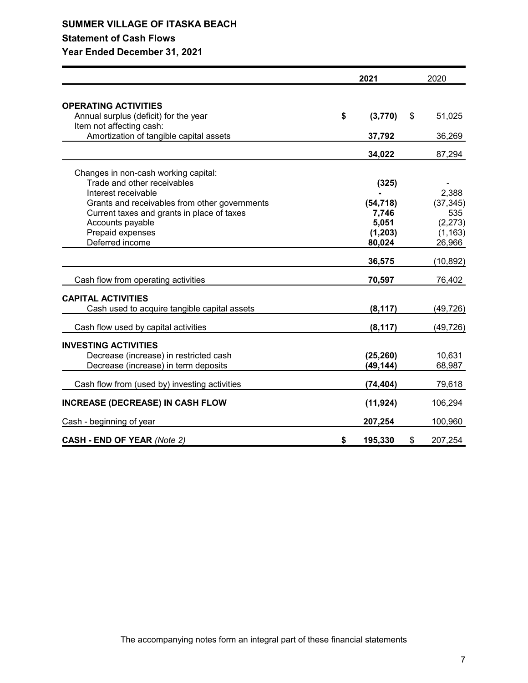# **Statement of Cash Flows**

|                                               | 2021          |    |           |
|-----------------------------------------------|---------------|----|-----------|
|                                               |               |    |           |
| <b>OPERATING ACTIVITIES</b>                   |               |    |           |
| Annual surplus (deficit) for the year         | \$<br>(3,770) | \$ | 51,025    |
| Item not affecting cash:                      |               |    |           |
| Amortization of tangible capital assets       | 37,792        |    | 36,269    |
|                                               | 34,022        |    | 87,294    |
| Changes in non-cash working capital:          |               |    |           |
| Trade and other receivables                   | (325)         |    |           |
| Interest receivable                           |               |    | 2,388     |
| Grants and receivables from other governments | (54, 718)     |    | (37, 345) |
| Current taxes and grants in place of taxes    | 7,746         |    | 535       |
| Accounts payable                              | 5,051         |    | (2, 273)  |
| Prepaid expenses                              | (1, 203)      |    | (1, 163)  |
| Deferred income                               | 80,024        |    | 26,966    |
|                                               | 36,575        |    | (10, 892) |
| Cash flow from operating activities           | 70,597        |    | 76,402    |
| <b>CAPITAL ACTIVITIES</b>                     |               |    |           |
| Cash used to acquire tangible capital assets  | (8, 117)      |    | (49, 726) |
| Cash flow used by capital activities          | (8, 117)      |    | (49, 726) |
| <b>INVESTING ACTIVITIES</b>                   |               |    |           |
| Decrease (increase) in restricted cash        | (25, 260)     |    | 10,631    |
| Decrease (increase) in term deposits          | (49,144)      |    | 68,987    |
| Cash flow from (used by) investing activities | (74, 404)     |    | 79,618    |
| <b>INCREASE (DECREASE) IN CASH FLOW</b>       | (11, 924)     |    | 106,294   |
|                                               |               |    |           |
| Cash - beginning of year                      | 207,254       |    | 100,960   |
| <b>CASH - END OF YEAR (Note 2)</b>            | \$<br>195,330 | \$ | 207,254   |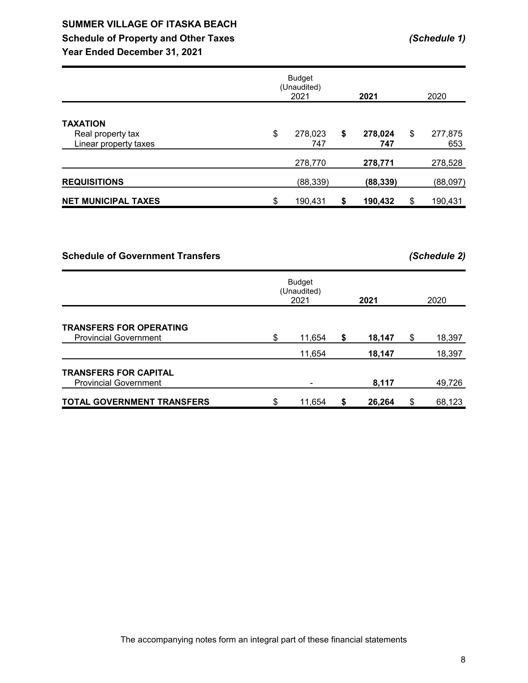# **Schedule of Property and Other Taxes** *(Schedule 1)*

**Year Ended December 31, 2021**

|                                                               | <b>Budget</b><br>(Unaudited)<br>2021 | 2021 | 2020           |    |                |
|---------------------------------------------------------------|--------------------------------------|------|----------------|----|----------------|
| <b>TAXATION</b><br>Real property tax<br>Linear property taxes | \$<br>278,023<br>747                 | \$   | 278,024<br>747 | \$ | 277,875<br>653 |
|                                                               | 278,770                              |      | 278,771        |    | 278,528        |
| <b>REQUISITIONS</b>                                           | (88, 339)                            |      | (88,339)       |    | (88,097)       |
| <b>NET MUNICIPAL TAXES</b>                                    | \$<br>190,431                        | \$   | 190,432        | \$ | 190,431        |

|  | <b>Schedule of Government Transfers</b> |  |
|--|-----------------------------------------|--|
|--|-----------------------------------------|--|

# **Schedule of Government Transfers** *(Schedule 2)*

|                                                                | <b>Budget</b><br>(Unaudited)<br>2021 | 2021 | 2020   |    |        |  |
|----------------------------------------------------------------|--------------------------------------|------|--------|----|--------|--|
| <b>TRANSFERS FOR OPERATING</b><br><b>Provincial Government</b> | \$<br>11,654                         | \$   | 18,147 | \$ | 18,397 |  |
|                                                                | 11,654                               |      | 18,147 |    | 18,397 |  |
| <b>TRANSFERS FOR CAPITAL</b><br><b>Provincial Government</b>   |                                      |      | 8,117  |    | 49,726 |  |
| <b>TOTAL GOVERNMENT TRANSFERS</b>                              | \$<br>11,654                         | \$   | 26,264 | \$ | 68,123 |  |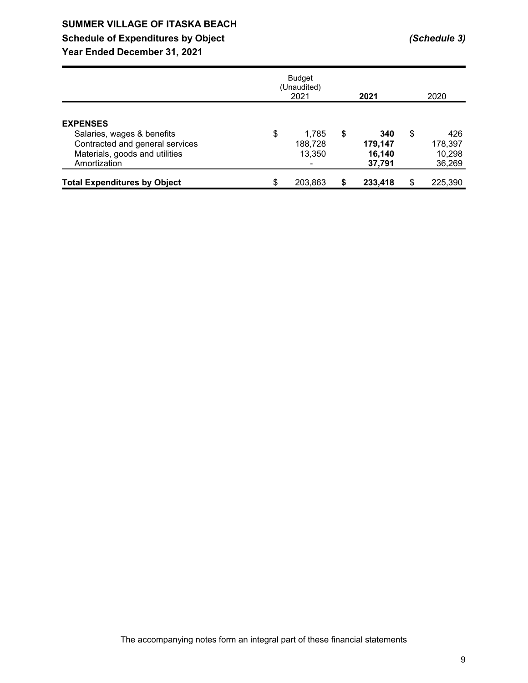# **Schedule of Expenditures by Object** *(Schedule 3)*

|                                                                                                                                    | <b>Budget</b><br>(Unaudited)<br>2021 | 2020                                     |                                          |  |
|------------------------------------------------------------------------------------------------------------------------------------|--------------------------------------|------------------------------------------|------------------------------------------|--|
| <b>EXPENSES</b><br>Salaries, wages & benefits<br>Contracted and general services<br>Materials, goods and utilities<br>Amortization | \$<br>1.785<br>188,728<br>13,350     | \$<br>340<br>179,147<br>16,140<br>37,791 | \$<br>426<br>178,397<br>10,298<br>36,269 |  |
| <b>Total Expenditures by Object</b>                                                                                                | \$<br>203,863                        | \$<br>233,418                            | 225,390                                  |  |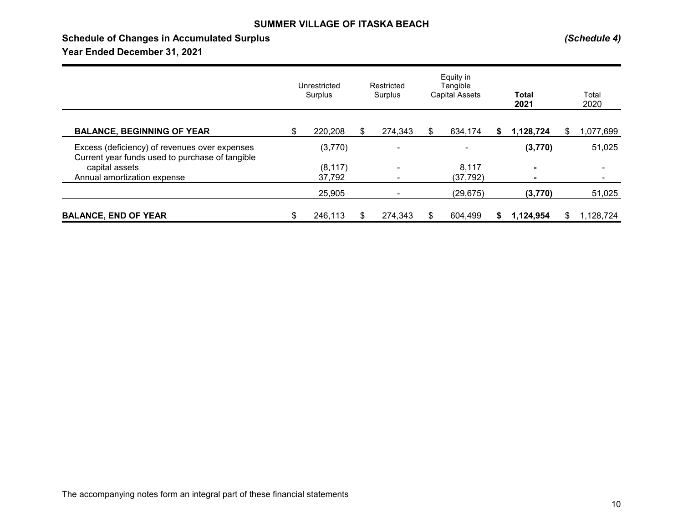# **Schedule of Changes in Accumulated Surplus** *(Schedule 4)*

|                                                                                                  | Unrestricted<br>Surplus |                    | Restricted<br>Surplus |         | Equity in<br>Tangible<br><b>Capital Assets</b> |                    | Total<br>2021 |           |    | Total<br>2020 |
|--------------------------------------------------------------------------------------------------|-------------------------|--------------------|-----------------------|---------|------------------------------------------------|--------------------|---------------|-----------|----|---------------|
| <b>BALANCE, BEGINNING OF YEAR</b>                                                                | \$                      | 220,208            | \$                    | 274,343 | S                                              | 634.174            | S.            | 1,128,724 | S  | ,077,699      |
| Excess (deficiency) of revenues over expenses<br>Current year funds used to purchase of tangible |                         | (3,770)            |                       |         |                                                |                    |               | (3,770)   |    | 51,025        |
| capital assets<br>Annual amortization expense                                                    |                         | (8, 117)<br>37,792 |                       |         |                                                | 8,117<br>(37, 792) |               |           |    | ۰<br>۰        |
|                                                                                                  |                         | 25,905             |                       |         |                                                | (29, 675)          |               | (3,770)   |    | 51,025        |
| <b>BALANCE, END OF YEAR</b>                                                                      | \$                      | 246,113            | S                     | 274,343 |                                                | 604,499            | S             | 1,124,954 | \$ | 1,128,724     |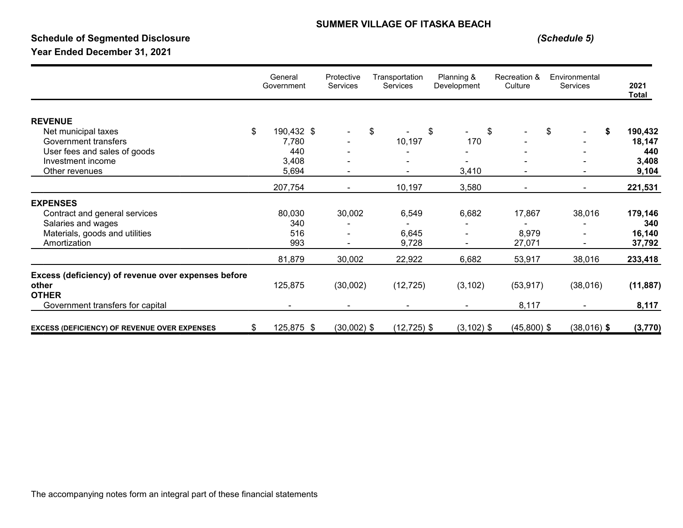# **Schedule of Segmented Disclosure** *(Schedule 5)*

|                                                     | General<br>Government | Protective<br><b>Services</b> | Transportation<br><b>Services</b> | Planning &<br>Development | Recreation &<br>Culture | Environmental<br>Services | 2021<br><b>Total</b> |
|-----------------------------------------------------|-----------------------|-------------------------------|-----------------------------------|---------------------------|-------------------------|---------------------------|----------------------|
| <b>REVENUE</b>                                      |                       |                               |                                   |                           |                         |                           |                      |
| Net municipal taxes                                 | \$<br>190,432 \$      |                               | \$                                | \$                        | \$                      | \$<br>\$                  | 190,432              |
| Government transfers                                | 7,780                 |                               | 10,197                            | 170                       |                         |                           | 18,147               |
| User fees and sales of goods                        | 440                   |                               |                                   |                           |                         |                           | 440                  |
| Investment income                                   | 3,408                 |                               |                                   |                           |                         |                           | 3,408                |
| Other revenues                                      | 5,694                 |                               |                                   | 3,410                     |                         |                           | 9,104                |
|                                                     | 207,754               |                               | 10,197                            | 3,580                     |                         |                           | 221,531              |
| <b>EXPENSES</b>                                     |                       |                               |                                   |                           |                         |                           |                      |
| Contract and general services                       | 80,030                | 30,002                        | 6,549                             | 6,682                     | 17,867                  | 38,016                    | 179,146              |
| Salaries and wages                                  | 340                   |                               |                                   |                           |                         |                           | 340                  |
| Materials, goods and utilities                      | 516                   |                               | 6,645                             |                           | 8,979                   |                           | 16,140               |
| Amortization                                        | 993                   |                               | 9,728                             |                           | 27,071                  |                           | 37,792               |
|                                                     | 81,879                | 30,002                        | 22,922                            | 6,682                     | 53,917                  | 38,016                    | 233,418              |
| Excess (deficiency) of revenue over expenses before |                       |                               |                                   |                           |                         |                           |                      |
| other                                               | 125,875               | (30,002)                      | (12, 725)                         | (3, 102)                  | (53, 917)               | (38,016)                  | (11, 887)            |
| <b>OTHER</b>                                        |                       |                               |                                   |                           |                         |                           |                      |
| Government transfers for capital                    |                       |                               |                                   |                           | 8,117                   |                           | 8,117                |
| <b>EXCESS (DEFICIENCY) OF REVENUE OVER EXPENSES</b> | \$<br>125,875 \$      | $(30,002)$ \$                 | $(12, 725)$ \$                    | $(3, 102)$ \$             | $(45,800)$ \$           | $(38,016)$ \$             | (3,770)              |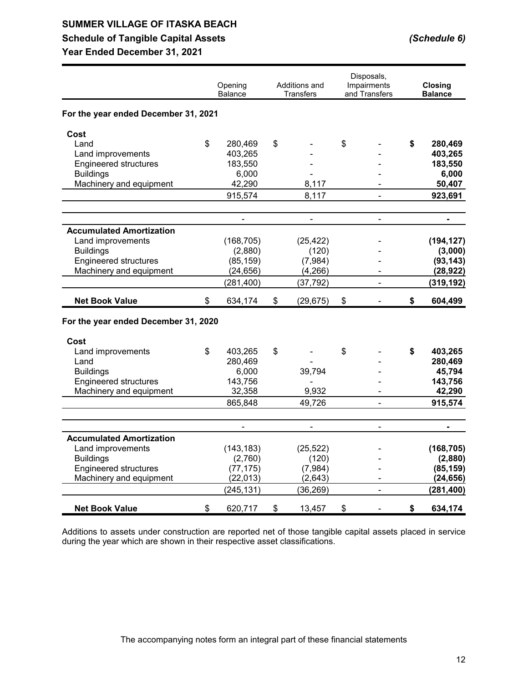# **Schedule of Tangible Capital Assets** *(Schedule 6)*

**Year Ended December 31, 2021**

|                                      | Opening |            |    | Additions and  | Disposals,<br>Impairments |                | Closing |                |
|--------------------------------------|---------|------------|----|----------------|---------------------------|----------------|---------|----------------|
|                                      |         | Balance    |    | Transfers      |                           | and Transfers  |         | <b>Balance</b> |
| For the year ended December 31, 2021 |         |            |    |                |                           |                |         |                |
| Cost                                 |         |            |    |                |                           |                |         |                |
| Land                                 | \$      | 280,469    | \$ |                | \$                        |                | S       | 280,469        |
| Land improvements                    |         | 403,265    |    |                |                           |                |         | 403,265        |
| <b>Engineered structures</b>         |         | 183,550    |    |                |                           |                |         | 183,550        |
| <b>Buildings</b>                     |         | 6,000      |    |                |                           |                |         | 6,000          |
| Machinery and equipment              |         | 42,290     |    | 8,117          |                           |                |         | 50,407         |
|                                      |         | 915,574    |    | 8,117          |                           |                |         | 923,691        |
|                                      |         |            |    |                |                           |                |         |                |
| <b>Accumulated Amortization</b>      |         |            |    |                |                           |                |         |                |
| Land improvements                    |         | (168, 705) |    | (25, 422)      |                           |                |         | (194, 127)     |
| <b>Buildings</b>                     |         | (2,880)    |    | (120)          |                           |                |         | (3,000)        |
| <b>Engineered structures</b>         |         | (85, 159)  |    | (7,984)        |                           |                |         | (93, 143)      |
| Machinery and equipment              |         | (24, 656)  |    | (4, 266)       |                           |                |         | (28, 922)      |
|                                      |         | (281, 400) |    | (37, 792)      |                           | ÷.             |         | (319, 192)     |
| <b>Net Book Value</b>                | \$      | 634,174    | \$ | (29, 675)      | \$                        |                | \$      | 604,499        |
| For the year ended December 31, 2020 |         |            |    |                |                           |                |         |                |
| Cost                                 |         |            |    |                |                           |                |         |                |
| Land improvements                    | \$      | 403,265    | \$ |                | \$                        |                | S       | 403,265        |
| Land                                 |         | 280,469    |    |                |                           |                |         | 280,469        |
| <b>Buildings</b>                     |         | 6,000      |    | 39,794         |                           |                |         | 45,794         |
| Engineered structures                |         | 143,756    |    | $\blacksquare$ |                           |                |         | 143,756        |
| Machinery and equipment              |         | 32,358     |    | 9,932          |                           |                |         | 42,290         |
|                                      |         | 865,848    |    | 49,726         |                           |                |         | 915,574        |
|                                      |         |            |    |                |                           |                |         | $\blacksquare$ |
| <b>Accumulated Amortization</b>      |         |            |    |                |                           |                |         |                |
| Land improvements                    |         | (143, 183) |    | (25, 522)      |                           |                |         | (168, 705)     |
| <b>Buildings</b>                     |         | (2,760)    |    | (120)          |                           |                |         | (2,880)        |
| <b>Engineered structures</b>         |         | (77, 175)  |    | (7,984)        |                           |                |         | (85, 159)      |
| Machinery and equipment              |         | (22, 013)  |    | (2,643)        |                           |                |         | (24, 656)      |
|                                      |         | (245, 131) |    | (36, 269)      |                           | $\blacksquare$ |         | (281, 400)     |
| <b>Net Book Value</b>                | \$      | 620,717    | \$ | 13,457         | \$                        |                | \$      | 634,174        |

Additions to assets under construction are reported net of those tangible capital assets placed in service during the year which are shown in their respective asset classifications.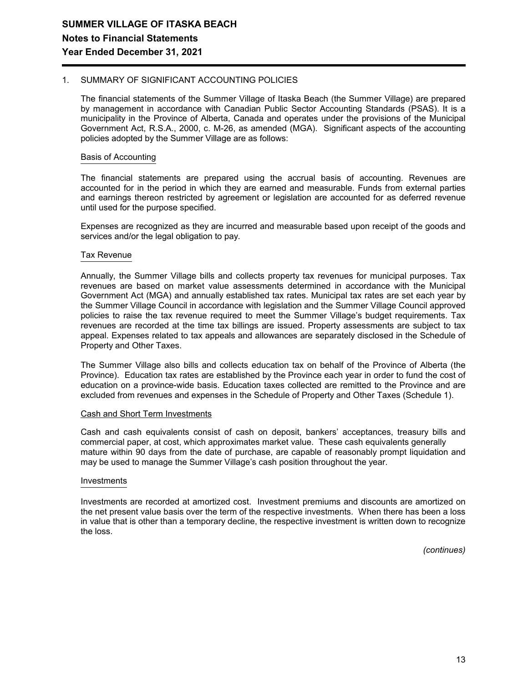## 1. SUMMARY OF SIGNIFICANT ACCOUNTING POLICIES

The financial statements of the Summer Village of Itaska Beach (the Summer Village) are prepared by management in accordance with Canadian Public Sector Accounting Standards (PSAS). It is a municipality in the Province of Alberta, Canada and operates under the provisions of the Municipal Government Act, R.S.A., 2000, c. M-26, as amended (MGA). Significant aspects of the accounting policies adopted by the Summer Village are as follows:

### Basis of Accounting

The financial statements are prepared using the accrual basis of accounting. Revenues are accounted for in the period in which they are earned and measurable. Funds from external parties and earnings thereon restricted by agreement or legislation are accounted for as deferred revenue until used for the purpose specified.

Expenses are recognized as they are incurred and measurable based upon receipt of the goods and services and/or the legal obligation to pay.

#### Tax Revenue

Annually, the Summer Village bills and collects property tax revenues for municipal purposes. Tax revenues are based on market value assessments determined in accordance with the Municipal Government Act (MGA) and annually established tax rates. Municipal tax rates are set each year by the Summer Village Council in accordance with legislation and the Summer Village Council approved policies to raise the tax revenue required to meet the Summer Village's budget requirements. Tax revenues are recorded at the time tax billings are issued. Property assessments are subject to tax appeal. Expenses related to tax appeals and allowances are separately disclosed in the Schedule of Property and Other Taxes.

The Summer Village also bills and collects education tax on behalf of the Province of Alberta (the Province). Education tax rates are established by the Province each year in order to fund the cost of education on a province-wide basis. Education taxes collected are remitted to the Province and are excluded from revenues and expenses in the Schedule of Property and Other Taxes (Schedule 1).

#### Cash and Short Term Investments

Cash and cash equivalents consist of cash on deposit, bankers' acceptances, treasury bills and commercial paper, at cost, which approximates market value. These cash equivalents generally mature within 90 days from the date of purchase, are capable of reasonably prompt liquidation and may be used to manage the Summer Village's cash position throughout the year.

#### Investments

Investments are recorded at amortized cost. Investment premiums and discounts are amortized on the net present value basis over the term of the respective investments. When there has been a loss in value that is other than a temporary decline, the respective investment is written down to recognize the loss.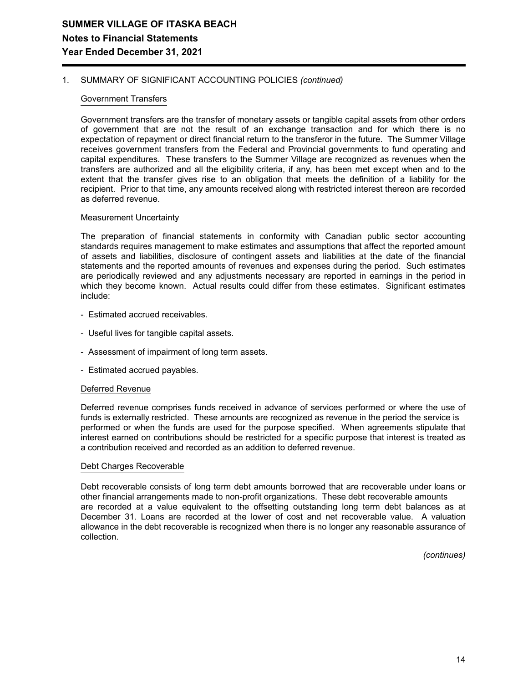## 1. SUMMARY OF SIGNIFICANT ACCOUNTING POLICIES *(continued)*

### Government Transfers

Government transfers are the transfer of monetary assets or tangible capital assets from other orders of government that are not the result of an exchange transaction and for which there is no expectation of repayment or direct financial return to the transferor in the future. The Summer Village receives government transfers from the Federal and Provincial governments to fund operating and capital expenditures. These transfers to the Summer Village are recognized as revenues when the transfers are authorized and all the eligibility criteria, if any, has been met except when and to the extent that the transfer gives rise to an obligation that meets the definition of a liability for the recipient. Prior to that time, any amounts received along with restricted interest thereon are recorded as deferred revenue.

### Measurement Uncertainty

The preparation of financial statements in conformity with Canadian public sector accounting standards requires management to make estimates and assumptions that affect the reported amount of assets and liabilities, disclosure of contingent assets and liabilities at the date of the financial statements and the reported amounts of revenues and expenses during the period. Such estimates are periodically reviewed and any adjustments necessary are reported in earnings in the period in which they become known. Actual results could differ from these estimates. Significant estimates include:

- Estimated accrued receivables.
- Useful lives for tangible capital assets.
- Assessment of impairment of long term assets.
- Estimated accrued payables.

### Deferred Revenue

Deferred revenue comprises funds received in advance of services performed or where the use of funds is externally restricted. These amounts are recognized as revenue in the period the service is performed or when the funds are used for the purpose specified. When agreements stipulate that interest earned on contributions should be restricted for a specific purpose that interest is treated as a contribution received and recorded as an addition to deferred revenue.

### Debt Charges Recoverable

Debt recoverable consists of long term debt amounts borrowed that are recoverable under loans or other financial arrangements made to non-profit organizations. These debt recoverable amounts are recorded at a value equivalent to the offsetting outstanding long term debt balances as at December 31. Loans are recorded at the lower of cost and net recoverable value. A valuation allowance in the debt recoverable is recognized when there is no longer any reasonable assurance of collection.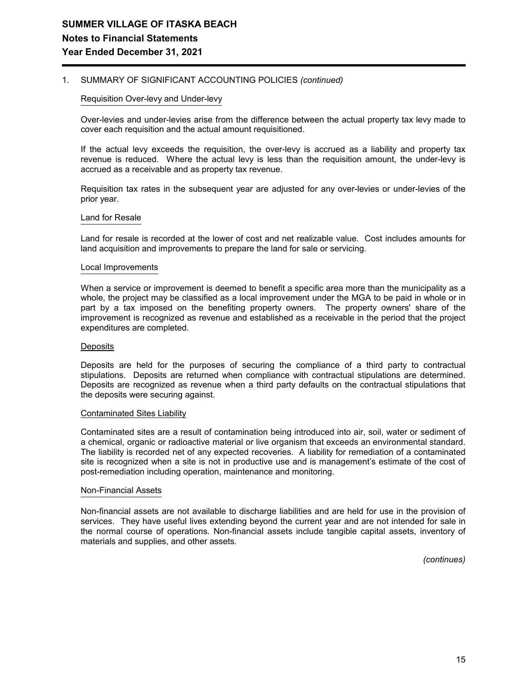### 1. SUMMARY OF SIGNIFICANT ACCOUNTING POLICIES *(continued)*

#### Requisition Over-levy and Under-levy

Over-levies and under-levies arise from the difference between the actual property tax levy made to cover each requisition and the actual amount requisitioned.

If the actual levy exceeds the requisition, the over-levy is accrued as a liability and property tax revenue is reduced. Where the actual levy is less than the requisition amount, the under-levy is accrued as a receivable and as property tax revenue.

Requisition tax rates in the subsequent year are adjusted for any over-levies or under-levies of the prior year.

#### Land for Resale

Land for resale is recorded at the lower of cost and net realizable value. Cost includes amounts for land acquisition and improvements to prepare the land for sale or servicing.

#### Local Improvements

When a service or improvement is deemed to benefit a specific area more than the municipality as a whole, the project may be classified as a local improvement under the MGA to be paid in whole or in part by a tax imposed on the benefiting property owners. The property owners' share of the improvement is recognized as revenue and established as a receivable in the period that the project expenditures are completed.

#### **Deposits**

Deposits are held for the purposes of securing the compliance of a third party to contractual stipulations. Deposits are returned when compliance with contractual stipulations are determined. Deposits are recognized as revenue when a third party defaults on the contractual stipulations that the deposits were securing against.

#### Contaminated Sites Liability

Contaminated sites are a result of contamination being introduced into air, soil, water or sediment of a chemical, organic or radioactive material or live organism that exceeds an environmental standard. The liability is recorded net of any expected recoveries. A liability for remediation of a contaminated site is recognized when a site is not in productive use and is management's estimate of the cost of post-remediation including operation, maintenance and monitoring.

#### Non-Financial Assets

Non-financial assets are not available to discharge liabilities and are held for use in the provision of services. They have useful lives extending beyond the current year and are not intended for sale in the normal course of operations. Non-financial assets include tangible capital assets, inventory of materials and supplies, and other assets.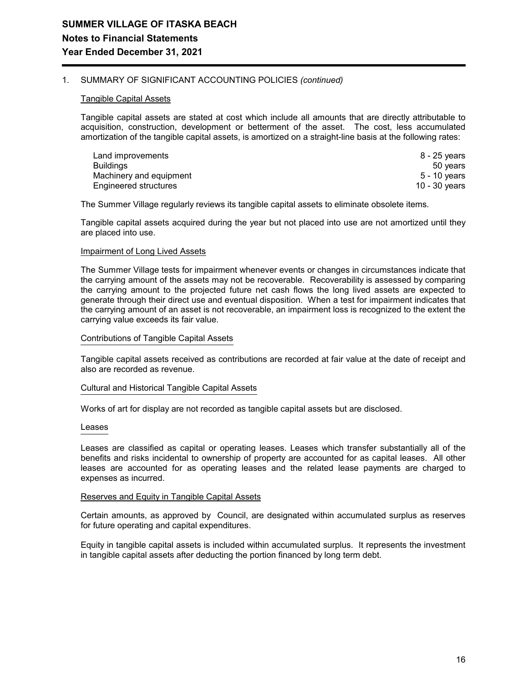# 1. SUMMARY OF SIGNIFICANT ACCOUNTING POLICIES *(continued)*

### Tangible Capital Assets

Tangible capital assets are stated at cost which include all amounts that are directly attributable to acquisition, construction, development or betterment of the asset. The cost, less accumulated amortization of the tangible capital assets, is amortized on a straight-line basis at the following rates:

| Land improvements       | 8 - 25 vears  |
|-------------------------|---------------|
| Buildings               | 50 vears      |
| Machinery and equipment | 5 - 10 vears  |
| Engineered structures   | 10 - 30 years |

The Summer Village regularly reviews its tangible capital assets to eliminate obsolete items.

Tangible capital assets acquired during the year but not placed into use are not amortized until they are placed into use.

#### **Impairment of Long Lived Assets**

The Summer Village tests for impairment whenever events or changes in circumstances indicate that the carrying amount of the assets may not be recoverable. Recoverability is assessed by comparing the carrying amount to the projected future net cash flows the long lived assets are expected to generate through their direct use and eventual disposition. When a test for impairment indicates that the carrying amount of an asset is not recoverable, an impairment loss is recognized to the extent the carrying value exceeds its fair value.

#### Contributions of Tangible Capital Assets

Tangible capital assets received as contributions are recorded at fair value at the date of receipt and also are recorded as revenue.

#### Cultural and Historical Tangible Capital Assets

Works of art for display are not recorded as tangible capital assets but are disclosed.

#### Leases

Leases are classified as capital or operating leases. Leases which transfer substantially all of the benefits and risks incidental to ownership of property are accounted for as capital leases. All other leases are accounted for as operating leases and the related lease payments are charged to expenses as incurred.

#### Reserves and Equity in Tangible Capital Assets

Certain amounts, as approved by Council, are designated within accumulated surplus as reserves for future operating and capital expenditures.

Equity in tangible capital assets is included within accumulated surplus. It represents the investment in tangible capital assets after deducting the portion financed by long term debt.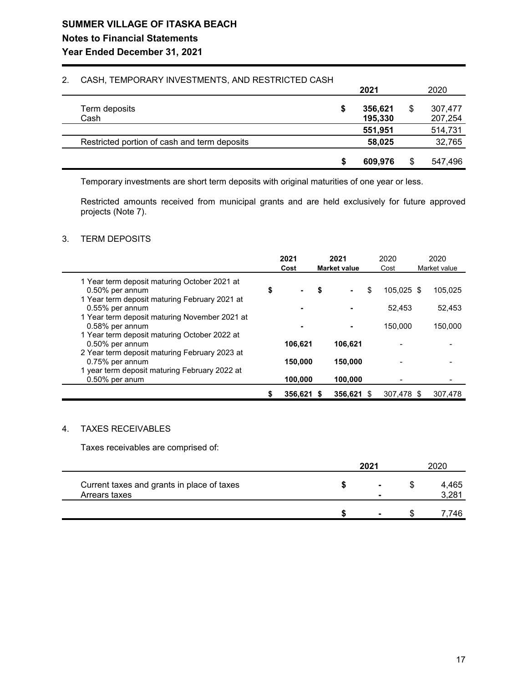# **SUMMER VILLAGE OF ITASKA BEACH Notes to Financial Statements Year Ended December 31, 2021**

## 2. CASH, TEMPORARY INVESTMENTS, AND RESTRICTED CASH

|                                              | 2021 |                    |    | 2020               |  |  |
|----------------------------------------------|------|--------------------|----|--------------------|--|--|
| Term deposits<br>Cash                        | S    | 356,621<br>195,330 | \$ | 307,477<br>207,254 |  |  |
|                                              |      | 551,951            |    | 514,731            |  |  |
| Restricted portion of cash and term deposits |      | 58,025             |    | 32,765             |  |  |
|                                              | S    | 609,976            | S  | 547,496            |  |  |

Temporary investments are short term deposits with original maturities of one year or less.

Restricted amounts received from municipal grants and are held exclusively for future approved projects (Note 7).

# 3. TERM DEPOSITS

|                                                                                                                     | 2021<br>Cost  | 2021<br><b>Market value</b> |                | 2020<br>Cost |            | 2020<br>Market value |         |
|---------------------------------------------------------------------------------------------------------------------|---------------|-----------------------------|----------------|--------------|------------|----------------------|---------|
| 1 Year term deposit maturing October 2021 at<br>$0.50\%$ per annum<br>1 Year term deposit maturing February 2021 at | \$<br>۰       | \$                          | $\blacksquare$ | \$           | 105.025 \$ |                      | 105,025 |
| 0.55% per annum                                                                                                     |               |                             |                |              | 52.453     |                      | 52,453  |
| 1 Year term deposit maturing November 2021 at<br>0.58% per annum                                                    |               |                             |                |              | 150.000    |                      | 150,000 |
| 1 Year term deposit maturing October 2022 at<br>0.50% per annum<br>2 Year term deposit maturing February 2023 at    | 106,621       |                             | 106,621        |              |            |                      |         |
| 0.75% per annum<br>1 year term deposit maturing February 2022 at                                                    | 150,000       |                             | 150,000        |              |            |                      |         |
| 0.50% per anum                                                                                                      | 100,000       |                             | 100,000        |              |            |                      |         |
|                                                                                                                     | \$<br>356.621 | S                           | 356,621        | -\$          | 307,478 \$ |                      | 307,478 |

# 4. TAXES RECEIVABLES

Taxes receivables are comprised of:

|                                                             | 2021                     | 2020           |
|-------------------------------------------------------------|--------------------------|----------------|
| Current taxes and grants in place of taxes<br>Arrears taxes | $\sim$<br>$\blacksquare$ | 4,465<br>3,281 |
|                                                             |                          | 746            |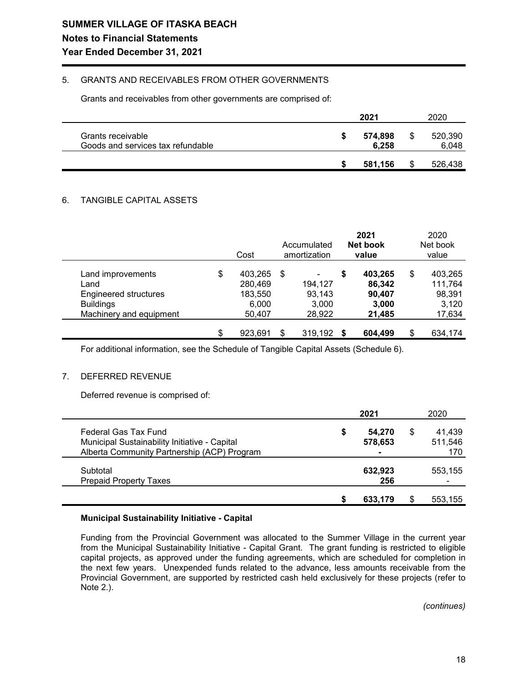# **SUMMER VILLAGE OF ITASKA BEACH Notes to Financial Statements**

# **Year Ended December 31, 2021**

# 5. GRANTS AND RECEIVABLES FROM OTHER GOVERNMENTS

Grants and receivables from other governments are comprised of:

|                                                        | 2021             | 2020             |
|--------------------------------------------------------|------------------|------------------|
| Grants receivable<br>Goods and services tax refundable | 574,898<br>6,258 | 520,390<br>6,048 |
|                                                        | 581.156          | 526,438          |

# 6. TANGIBLE CAPITAL ASSETS

|                                                  | Cost                     |    | Accumulated<br>amortization |    | 2021<br>Net book<br>value | 2020<br>Net book<br>value |
|--------------------------------------------------|--------------------------|----|-----------------------------|----|---------------------------|---------------------------|
| Land improvements<br>Land                        | \$<br>403,265<br>280,469 | \$ | -<br>194,127                | \$ | 403,265<br>86,342         | \$<br>403,265<br>111,764  |
| <b>Engineered structures</b><br><b>Buildings</b> | 183,550<br>6,000         |    | 93,143<br>3,000             |    | 90,407<br>3,000           | 98,391<br>3,120           |
| Machinery and equipment                          | \$<br>50,407<br>923.691  | S  | 28,922<br>319,192           | \$ | 21,485<br>604,499         | \$<br>17,634<br>634,174   |

For additional information, see the Schedule of Tangible Capital Assets (Schedule 6).

# 7. DEFERRED REVENUE

Deferred revenue is comprised of:

|                                                                                                                      |   | 2021              |   | 2020                     |
|----------------------------------------------------------------------------------------------------------------------|---|-------------------|---|--------------------------|
| Federal Gas Tax Fund<br>Municipal Sustainability Initiative - Capital<br>Alberta Community Partnership (ACP) Program | S | 54,270<br>578,653 | S | 41.439<br>511,546<br>170 |
| Subtotal<br><b>Prepaid Property Taxes</b>                                                                            |   | 632,923<br>256    |   | 553,155                  |
|                                                                                                                      |   | 633,179           | S | 553,155                  |

# **Municipal Sustainability Initiative - Capital**

Funding from the Provincial Government was allocated to the Summer Village in the current year from the Municipal Sustainability Initiative - Capital Grant. The grant funding is restricted to eligible capital projects, as approved under the funding agreements, which are scheduled for completion in the next few years. Unexpended funds related to the advance, less amounts receivable from the Provincial Government, are supported by restricted cash held exclusively for these projects (refer to Note 2.).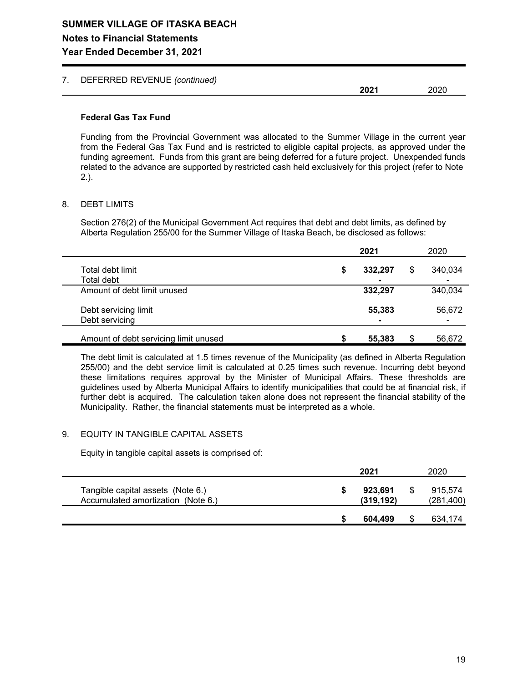# 7. DEFERRED REVENUE *(continued)*

**2021** 2020

#### **Federal Gas Tax Fund**

Funding from the Provincial Government was allocated to the Summer Village in the current year from the Federal Gas Tax Fund and is restricted to eligible capital projects, as approved under the funding agreement. Funds from this grant are being deferred for a future project. Unexpended funds related to the advance are supported by restricted cash held exclusively for this project (refer to Note 2.).

### 8. DEBT LIMITS

Section 276(2) of the Municipal Government Act requires that debt and debt limits, as defined by Alberta Regulation 255/00 for the Summer Village of Itaska Beach, be disclosed as follows:

|                                        | 2021 |                           |    | 2020    |  |  |
|----------------------------------------|------|---------------------------|----|---------|--|--|
| Total debt limit<br><b>Total debt</b>  | S    | 332,297<br>$\blacksquare$ | S  | 340,034 |  |  |
| Amount of debt limit unused            |      | 332,297                   |    | 340,034 |  |  |
| Debt servicing limit<br>Debt servicing |      | 55,383<br>$\blacksquare$  |    | 56,672  |  |  |
| Amount of debt servicing limit unused  |      | 55,383                    | \$ | 56,672  |  |  |

The debt limit is calculated at 1.5 times revenue of the Municipality (as defined in Alberta Regulation 255/00) and the debt service limit is calculated at 0.25 times such revenue. Incurring debt beyond these limitations requires approval by the Minister of Municipal Affairs. These thresholds are guidelines used by Alberta Municipal Affairs to identify municipalities that could be at financial risk, if further debt is acquired. The calculation taken alone does not represent the financial stability of the Municipality. Rather, the financial statements must be interpreted as a whole.

# 9. EQUITY IN TANGIBLE CAPITAL ASSETS

Equity in tangible capital assets is comprised of:

|                                                                         | 2021                  | 2020                  |
|-------------------------------------------------------------------------|-----------------------|-----------------------|
| Tangible capital assets (Note 6.)<br>Accumulated amortization (Note 6.) | 923.691<br>(319, 192) | 915.574<br>(281, 400) |
|                                                                         | 604.499               | 634,174               |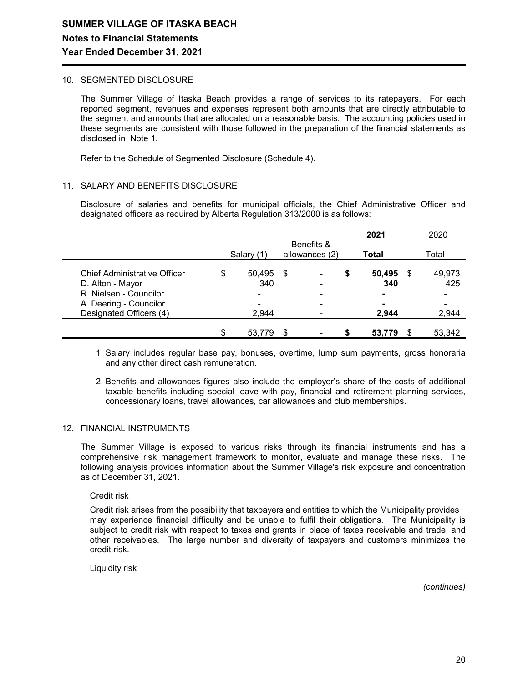### 10. SEGMENTED DISCLOSURE

The Summer Village of Itaska Beach provides a range of services to its ratepayers. For each reported segment, revenues and expenses represent both amounts that are directly attributable to the segment and amounts that are allocated on a reasonable basis. The accounting policies used in these segments are consistent with those followed in the preparation of the financial statements as disclosed in Note 1.

Refer to the Schedule of Segmented Disclosure (Schedule 4).

# 11. SALARY AND BENEFITS DISCLOSURE

Disclosure of salaries and benefits for municipal officials, the Chief Administrative Officer and designated officers as required by Alberta Regulation 313/2000 is as follows:

|                                     |                                            |        |      |       | 2021           |       | 2020   |
|-------------------------------------|--------------------------------------------|--------|------|-------|----------------|-------|--------|
|                                     | Benefits &<br>allowances (2)<br>Salary (1) |        |      | Total |                | Total |        |
|                                     |                                            |        |      |       |                |       |        |
| <b>Chief Administrative Officer</b> | \$                                         | 50,495 | - \$ |       | \$<br>50,495   | - \$  | 49,973 |
| D. Alton - Mayor                    |                                            | 340    |      |       | 340            |       | 425    |
| R. Nielsen - Councilor              |                                            | -      |      |       | $\blacksquare$ |       |        |
| A. Deering - Councilor              |                                            | ۰      |      |       | $\blacksquare$ |       |        |
| Designated Officers (4)             |                                            | 2,944  |      |       | 2,944          |       | 2,944  |
|                                     | \$                                         | 53,779 |      |       | 53,779         |       | 53,342 |

- 1. Salary includes regular base pay, bonuses, overtime, lump sum payments, gross honoraria and any other direct cash remuneration.
- 2. Benefits and allowances figures also include the employer's share of the costs of additional taxable benefits including special leave with pay, financial and retirement planning services, concessionary loans, travel allowances, car allowances and club memberships.

### 12. FINANCIAL INSTRUMENTS

The Summer Village is exposed to various risks through its financial instruments and has a comprehensive risk management framework to monitor, evaluate and manage these risks. The following analysis provides information about the Summer Village's risk exposure and concentration as of December 31, 2021.

Credit risk

Credit risk arises from the possibility that taxpayers and entities to which the Municipality provides may experience financial difficulty and be unable to fulfil their obligations. The Municipality is subject to credit risk with respect to taxes and grants in place of taxes receivable and trade, and other receivables. The large number and diversity of taxpayers and customers minimizes the credit risk.

Liquidity risk